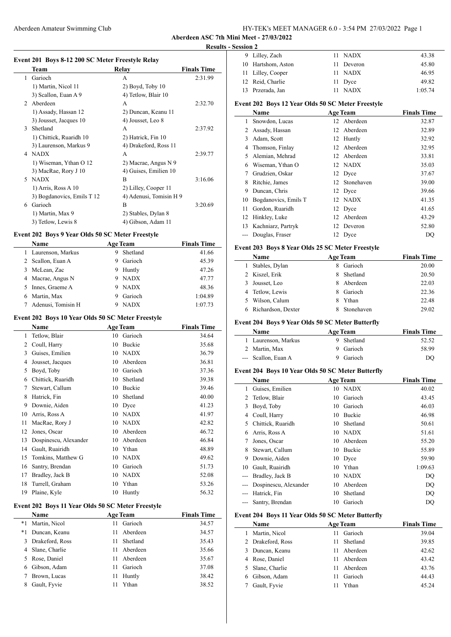## Aberdeen Amateur Swimming Club HY-TEK's MEET MANAGER 6.0 - 3:54 PM 27/03/2022 Page 1

**Aberdeen ASC 7th Mini Meet - 27/03/2022 Results - Session 2**

 $\overline{a}$ 

 $\overline{a}$ 

#### **Event 201 Boys 8-12 200 SC Meter Freestyle Relay**

|                | Team                       | Relay                   | <b>Finals Time</b> |
|----------------|----------------------------|-------------------------|--------------------|
| 1              | Garioch                    | A                       | 2:31.99            |
|                | 1) Martin, Nicol 11        | $2)$ Boyd, Toby $10$    |                    |
|                | 3) Scallon, Euan A 9       | 4) Tetlow, Blair 10     |                    |
| $\mathfrak{D}$ | Aberdeen                   | A                       | 2:32.70            |
|                | 1) Assady, Hassan 12       | 2) Duncan, Keanu 11     |                    |
|                | 3) Jousset, Jacques 10     | 4) Jousset, Leo 8       |                    |
| 3              | Shetland                   | A                       | 2:37.92            |
|                | 1) Chittick, Ruaridh 10    | 2) Hatrick, Fin 10      |                    |
|                | 3) Laurenson, Markus 9     | 4) Drakeford, Ross 11   |                    |
| 4              | <b>NADX</b>                | A                       | 2:39.77            |
|                | 1) Wiseman, Ythan O 12     | 2) Macrae, Angus N 9    |                    |
|                | 3) MacRae, Rory J 10       | 4) Guises, Emilien 10   |                    |
| 5.             | <b>NADX</b>                | B                       | 3:16.06            |
|                | 1) Arris, Ross A 10        | 2) Lilley, Cooper 11    |                    |
|                | 3) Bogdanovics, Emils T 12 | 4) Adenusi, Tomisin H 9 |                    |
| 6              | Garioch                    | B                       | 3:20.69            |
|                | 1) Martin, Max 9           | 2) Stables, Dylan 8     |                    |
|                | 3) Tetlow, Lewis 8         | 4) Gibson, Adam 11      |                    |

### **Event 202 Boys 9 Year Olds 50 SC Meter Freestyle**

| Name                  | <b>Age Team</b>  | <b>Finals Time</b> |
|-----------------------|------------------|--------------------|
| 1 Laurenson, Markus   | Shetland<br>9    | 41.66              |
| 2 Scallon, Euan A     | Garioch<br>9     | 45.39              |
| McLean, Zac<br>3      | Huntly<br>9      | 47.26              |
| 4 Macrae, Angus N     | <b>NADX</b><br>9 | 47.77              |
| Innes, Graeme A<br>5. | <b>NADX</b><br>9 | 48.36              |
| Martin, Max           | Garioch<br>9     | 1:04.89            |
| Adenusi, Tomisin H    | <b>NADX</b><br>9 | 1:07.73            |

#### **Event 202 Boys 10 Year Olds 50 SC Meter Freestyle**

|    | Name                  |    | <b>Age Team</b> | <b>Finals Time</b> |
|----|-----------------------|----|-----------------|--------------------|
| 1  | Tetlow, Blair         | 10 | Garioch         | 34.64              |
| 2  | Coull, Harry          | 10 | Buckie          | 35.68              |
| 3  | Guises, Emilien       | 10 | <b>NADX</b>     | 36.79              |
| 4  | Jousset, Jacques      | 10 | Aberdeen        | 36.81              |
| 5  | Boyd, Toby            | 10 | Garioch         | 37.36              |
| 6  | Chittick, Ruaridh     | 10 | Shetland        | 39.38              |
| 7  | Stewart, Callum       | 10 | Buckie          | 39.46              |
| 8  | Hatrick, Fin          | 10 | Shetland        | 40.00              |
| 9  | Downie, Aiden         | 10 | Dyce            | 41.23              |
| 10 | Arris, Ross A         | 10 | <b>NADX</b>     | 41.97              |
| 11 | MacRae, Rory J        | 10 | <b>NADX</b>     | 42.82              |
| 12 | Jones, Oscar          | 10 | Aberdeen        | 46.72              |
| 13 | Dospinescu, Alexander | 10 | Aberdeen        | 46.84              |
| 14 | Gault, Ruairidh       | 10 | Ythan           | 48.89              |
| 15 | Tomkins, Matthew G    | 10 | <b>NADX</b>     | 49.62              |
| 16 | Santry, Brendan       | 10 | Garioch         | 51.73              |
| 17 | Bradley, Jack B       | 10 | <b>NADX</b>     | 52.08              |
| 18 | Turrell, Graham       | 10 | Ythan           | 53.26              |
| 19 | Plaine, Kyle          | 10 | Huntly          | 56.32              |

### **Event 202 Boys 11 Year Olds 50 SC Meter Freestyle**

|      | Name            |    | <b>Age Team</b> | <b>Finals Time</b> |
|------|-----------------|----|-----------------|--------------------|
| $*1$ | Martin, Nicol   | 11 | Garioch         | 34.57              |
| $*1$ | Duncan, Keanu   | 11 | Aberdeen        | 34.57              |
| 3    | Drakeford, Ross | 11 | Shetland        | 35.43              |
|      | Slane, Charlie  | 11 | Aberdeen        | 35.66              |
|      | Rose, Daniel    | 11 | Aberdeen        | 35.67              |
| 6    | Gibson, Adam    | 11 | Garioch         | 37.08              |
|      | Brown, Lucas    | 11 | Huntly          | 38.42              |
| 8    | Gault, Fyvie    | 11 | Ythan           | 38.52              |
|      |                 |    |                 |                    |

| лээнин 4 |                    |             |         |
|----------|--------------------|-------------|---------|
|          | 9 Lilley, Zach     | 11 NADX     | 43.38   |
|          | 10 Hartshom, Aston | 11 Deveron  | 45.80   |
|          | 11 Lilley, Cooper  | 11 NADX     | 46.95   |
|          | 12 Reid, Charlie   | 11 Dyce     | 49.82   |
|          | 13 Przerada, Jan   | <b>NADX</b> | 1:05.74 |

# **Event 202 Boys 12 Year Olds 50 SC Meter Freestyle**

|       | <b>Name</b>          |     | <b>Age Team</b> | <b>Finals Time</b> |
|-------|----------------------|-----|-----------------|--------------------|
| 1     | Snowdon, Lucas       |     | 12 Aberdeen     | 32.87              |
| 2     | Assady, Hassan       |     | 12 Aberdeen     | 32.89              |
| 3     | Adam, Scott          | 12  | Huntly          | 32.92              |
| 4     | Thomson, Finlay      |     | 12 Aberdeen     | 32.95              |
| 5     | Alemian, Mehrad      | 12  | Aberdeen        | 33.81              |
| 6     | Wiseman, Ythan O     |     | 12 NADX         | 35.03              |
| 7     | Grudzien, Oskar      |     | 12 Dyce         | 37.67              |
| 8     | Ritchie, James       | 12. | Stonehaven      | 39.00              |
| 9     | Duncan, Chris        |     | 12 Dyce         | 39.66              |
| 10    | Bogdanovics, Emils T |     | 12 NADX         | 41.35              |
| 11    | Gordon, Ruaridh      |     | 12 Dyce         | 41.65              |
| 12    | Hinkley, Luke        | 12  | Aberdeen        | 43.29              |
| 13    | Kachniarz, Partryk   | 12  | Deveron         | 52.80              |
| $---$ | Douglas, Fraser      |     | 12 Dyce         | DO                 |

#### **Event 203 Boys 8 Year Olds 25 SC Meter Freestyle**

|   | Name               |    | <b>Age Team</b> | <b>Finals Time</b> |
|---|--------------------|----|-----------------|--------------------|
| 1 | Stables, Dylan     | 8  | Garioch         | 20.00              |
|   | 2 Kiszel, Erik     | 8  | Shetland        | 20.50              |
|   | 3 Jousset, Leo     | 8  | Aberdeen        | 22.03              |
|   | 4 Tetlow, Lewis    | 8. | Garioch         | 22.36              |
|   | 5 Wilson, Calum    |    | Ythan           | 22.48              |
|   | Richardson, Dexter |    | Stonehaven      | 29.02              |

### **Event 204 Boys 9 Year Olds 50 SC Meter Butterfly**

| Name                | <b>Age Team</b> | <b>Finals Time</b> |
|---------------------|-----------------|--------------------|
| 1 Laurenson, Markus | Shetland        | 52.52              |
| 2 Martin, Max       | 9 Garioch       | 58.99              |
| --- Scallon, Euan A | 9 Garioch       | DO                 |

#### **Event 204 Boys 10 Year Olds 50 SC Meter Butterfly**

|    | Name                  |    | <b>Age Team</b> | <b>Finals Time</b> |
|----|-----------------------|----|-----------------|--------------------|
| 1  | Guises, Emilien       |    | 10 NADX         | 40.02              |
| 2  | Tetlow, Blair         | 10 | Garioch         | 43.45              |
| 3  | Boyd, Toby            | 10 | Garioch         | 46.03              |
| 4  | Coull, Harry          | 10 | <b>Buckie</b>   | 46.98              |
| 5. | Chittick, Ruaridh     | 10 | Shetland        | 50.61              |
| 6  | Arris, Ross A         |    | 10 NADX         | 51.61              |
|    | Jones, Oscar          | 10 | Aberdeen        | 55.20              |
| 8  | Stewart, Callum       | 10 | Buckie          | 55.89              |
| 9  | Downie, Aiden         |    | 10 Dyce         | 59.90              |
| 10 | Gault, Ruairidh       | 10 | Ythan           | 1:09.63            |
|    | Bradley, Jack B       | 10 | <b>NADX</b>     | DQ                 |
|    | Dospinescu, Alexander |    | 10 Aberdeen     | DQ                 |
|    | Hatrick, Fin          | 10 | Shetland        | DQ                 |
|    | Santry, Brendan       | 10 | Garioch         | DQ                 |

### **Event 204 Boys 11 Year Olds 50 SC Meter Butterfly**

| Name              | <b>Age Team</b> | <b>Finals Time</b> |
|-------------------|-----------------|--------------------|
| Martin, Nicol     | Garioch<br>11   | 39.04              |
| 2 Drakeford, Ross | Shetland<br>11  | 39.85              |
| 3 Duncan, Keanu   | Aberdeen<br>11  | 42.62              |
| 4 Rose, Daniel    | Aberdeen<br>11  | 43.42              |
| 5 Slane, Charlie  | Aberdeen<br>11  | 43.76              |
| 6 Gibson, Adam    | Garioch<br>11   | 44.43              |
| Gault, Fyvie      | Ythan           | 45.24              |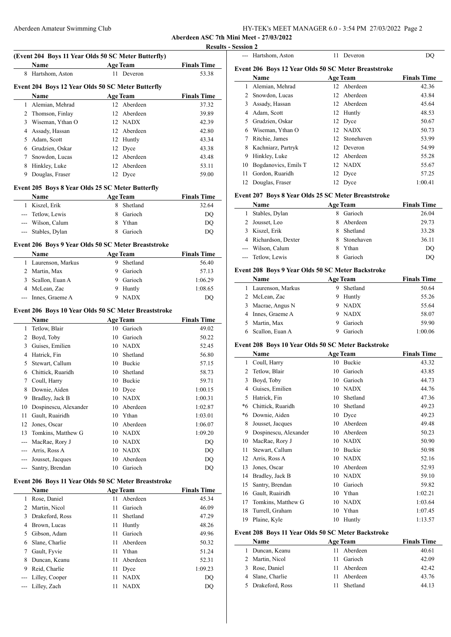| HY-TEK's MEET MANAGER 6.0 - 3:54 PM 27/03/2022 Page 2 |
|-------------------------------------------------------|
|-------------------------------------------------------|

**Aberdeen ASC 7th Mini Meet - 27/03/2022**

| (Event 204 Boys 11 Year Olds 50 SC Meter Butterfly) |                                                      |                 |                             |                             |  |
|-----------------------------------------------------|------------------------------------------------------|-----------------|-----------------------------|-----------------------------|--|
|                                                     | Name                                                 | <b>Age Team</b> |                             | <b>Finals Time</b>          |  |
|                                                     | 8 Hartshom, Aston                                    |                 | 11 Deveron                  | 53.38                       |  |
|                                                     | Event 204 Boys 12 Year Olds 50 SC Meter Butterfly    |                 |                             |                             |  |
|                                                     | <b>Name</b>                                          |                 | <b>Age Team</b>             | <b>Finals Time</b>          |  |
|                                                     | 1 Alemian, Mehrad                                    |                 | 12 Aberdeen                 | 37.32                       |  |
|                                                     | 2 Thomson, Finlay                                    |                 | 12 Aberdeen                 | 39.89                       |  |
|                                                     | 3 Wiseman, Ythan O                                   |                 | 12 NADX                     | 42.39                       |  |
|                                                     |                                                      |                 | 12 Aberdeen                 |                             |  |
|                                                     | 4 Assady, Hassan                                     |                 |                             | 42.80                       |  |
|                                                     | 5 Adam, Scott                                        |                 | 12 Huntly                   | 43.34                       |  |
|                                                     | 6 Grudzien, Oskar                                    |                 | 12 Dyce                     | 43.38                       |  |
|                                                     | 7 Snowdon, Lucas                                     |                 | 12 Aberdeen                 | 43.48                       |  |
|                                                     | 8 Hinkley, Luke                                      |                 | 12 Aberdeen                 | 53.11                       |  |
| 9.                                                  | Douglas, Fraser                                      |                 | 12 Dyce                     | 59.00                       |  |
|                                                     | Event 205 Boys 8 Year Olds 25 SC Meter Butterfly     |                 |                             |                             |  |
|                                                     | Name                                                 |                 | <b>Age Team</b>             | <b>Finals Time</b>          |  |
|                                                     | 1 Kiszel, Erik                                       | 8.              | Shetland                    | 32.64                       |  |
|                                                     | --- Tetlow, Lewis                                    |                 | 8 Garioch                   | DQ                          |  |
|                                                     | --- Wilson, Calum                                    |                 | 8 Ythan                     | DQ                          |  |
|                                                     | --- Stables, Dylan                                   |                 | 8 Garioch                   | DQ                          |  |
|                                                     |                                                      |                 |                             |                             |  |
|                                                     | Event 206 Boys 9 Year Olds 50 SC Meter Breaststroke  |                 |                             |                             |  |
|                                                     | Name                                                 |                 | <b>Age Team</b>             | <b>Finals Time</b>          |  |
| $\mathbf{1}$                                        | Laurenson, Markus                                    |                 | 9 Shetland                  | 56.40                       |  |
|                                                     | 2 Martin, Max                                        |                 | 9 Garioch                   | 57.13                       |  |
|                                                     | 3 Scallon, Euan A                                    |                 | 9 Garioch                   | 1:06.29                     |  |
|                                                     | 4 McLean, Zac                                        |                 | 9 Huntly                    | 1:08.65                     |  |
|                                                     | --- Innes, Graeme A                                  |                 | 9 NADX                      | DQ                          |  |
|                                                     | Event 206 Boys 10 Year Olds 50 SC Meter Breaststroke |                 |                             |                             |  |
|                                                     |                                                      |                 |                             |                             |  |
|                                                     | Name                                                 |                 | <b>Age Team</b>             | <b>Finals Time</b>          |  |
|                                                     | 1 Tetlow, Blair                                      |                 | 10 Garioch                  | 49.02                       |  |
|                                                     | 2 Boyd, Toby                                         |                 | 10 Garioch                  | 50.22                       |  |
|                                                     | 3 Guises, Emilien                                    |                 | 10 NADX                     | 52.45                       |  |
|                                                     | 4 Hatrick, Fin                                       |                 | 10 Shetland                 | 56.80                       |  |
|                                                     | 5 Stewart, Callum                                    |                 | 10 Buckie                   | 57.15                       |  |
|                                                     | 6 Chittick, Ruaridh                                  |                 | 10 Shetland                 | 58.73                       |  |
|                                                     | 7 Coull, Harry                                       |                 | 10 Buckie                   | 59.71                       |  |
|                                                     | 8 Downie, Aiden                                      |                 | 10 Dyce                     | 1:00.15                     |  |
|                                                     | 9 Bradley, Jack B                                    |                 | 10 NADX                     | 1:00.31                     |  |
|                                                     | 10 Dospinescu, Alexander                             |                 | 10 Aberdeen                 | 1:02.87                     |  |
|                                                     | 11 Gault, Ruairidh                                   |                 | 10 Ythan                    | 1:03.01                     |  |
|                                                     | 12 Jones, Oscar                                      |                 | 10 Aberdeen                 | 1:06.07                     |  |
|                                                     | 13 Tomkins, Matthew G                                |                 | 10 NADX                     | 1:09.20                     |  |
|                                                     | --- MacRae, Rory J                                   |                 | 10 NADX                     | $\mathbf{D}\mathbf{Q}$      |  |
|                                                     | --- Arris, Ross A                                    | 10              | <b>NADX</b>                 | DQ                          |  |
|                                                     | --- Jousset, Jacques                                 | 10              | Aberdeen                    | DQ                          |  |
| $--$                                                | Santry, Brendan                                      |                 | 10 Garioch                  | DQ                          |  |
|                                                     | Event 206 Boys 11 Year Olds 50 SC Meter Breaststroke |                 |                             |                             |  |
|                                                     |                                                      |                 |                             |                             |  |
|                                                     | Name                                                 | 11              | <b>Age Team</b><br>Aberdeen | <b>Finals Time</b><br>45.34 |  |
|                                                     | 1 Rose, Daniel                                       | 11              | Garioch                     |                             |  |
|                                                     | 2 Martin, Nicol                                      |                 |                             | 46.09                       |  |
|                                                     | 3 Drakeford, Ross                                    | 11              | Shetland                    | 47.29                       |  |
|                                                     | 4 Brown, Lucas                                       | 11              | Huntly                      | 48.26                       |  |
|                                                     | 5 Gibson, Adam                                       | 11              | Garioch                     | 49.96                       |  |
|                                                     | 6 Slane, Charlie                                     | 11              | Aberdeen                    | 50.32                       |  |
|                                                     | 7 Gault, Fyvie                                       | 11              | Ythan                       | 51.24                       |  |
|                                                     | 8 Duncan, Keanu                                      | 11              | Aberdeen                    | 52.31                       |  |
|                                                     | 9 Reid, Charlie                                      | 11              | Dyce                        | 1:09.23                     |  |
| $---$                                               | Lilley, Cooper                                       | 11              | <b>NADX</b>                 | DQ                          |  |
| $--$                                                | Lilley, Zach                                         | 11              | <b>NADX</b>                 | DQ                          |  |
|                                                     |                                                      |                 |                             |                             |  |
|                                                     |                                                      |                 |                             |                             |  |

|              | <b>Results - Session 2</b> |                                                      |    |                 |                    |
|--------------|----------------------------|------------------------------------------------------|----|-----------------|--------------------|
|              |                            | Hartshom, Aston                                      | 11 | Deveron         | DO                 |
| `ime<br>3.38 |                            | Event 206 Boys 12 Year Olds 50 SC Meter Breaststroke |    |                 |                    |
|              |                            | Name                                                 |    | <b>Age Team</b> | <b>Finals Time</b> |
|              |                            | Alemian, Mehrad                                      |    | 12 Aberdeen     | 42.36              |
| 'ime         | 2                          | Snowdon, Lucas                                       | 12 | Aberdeen        | 43.84              |
| 7.32         | 3                          | Assady, Hassan                                       | 12 | Aberdeen        | 45.64              |
| 9.89         |                            | Adam, Scott                                          |    | 12 Huntly       | 48.53              |
| 2.39         | 5.                         | Grudzien, Oskar                                      |    | 12 Dyce         | 50.67              |
| 2.80         | 6                          | Wiseman, Ythan O                                     |    | 12 NADX         | 50.73              |
| 3.34         |                            | Ritchie, James                                       | 12 | Stonehaven      | 53.99              |
| 3.38         | 8                          | Kachniarz, Partryk                                   | 12 | Deveron         | 54.99              |
| 3.48         | 9                          | Hinkley, Luke                                        | 12 | Aberdeen        | 55.28              |
| 3.11         | 10                         | Bogdanovics, Emils T                                 |    | 12 NADX         | 55.67              |
| 9.00         | 11                         | Gordon, Ruaridh                                      |    | 12 Dyce         | 57.25              |
|              | 12                         | Douglas, Fraser                                      |    | 12 Dyce         | 1:00.41            |

## **Event 207 Boys 8 Year Olds 25 SC Meter Breaststroke**

| <b>Name</b>          |    | <b>Age Team</b> | <b>Finals Time</b> |
|----------------------|----|-----------------|--------------------|
| Stables, Dylan       |    | Garioch         | 26.04              |
| 2 Jousset, Leo       | 8. | Aberdeen        | 29.73              |
| 3 Kiszel, Erik       | 8. | Shetland        | 33.28              |
| 4 Richardson, Dexter |    | Stonehaven      | 36.11              |
| --- Wilson, Calum    |    | Ythan           | DO                 |
| --- Tetlow, Lewis    |    | Garioch         | DO                 |

## **Event 208 Boys 9 Year Olds 50 SC Meter Backstroke**

|   | <b>Name</b>       | <b>Age Team</b> | <b>Finals Time</b> |
|---|-------------------|-----------------|--------------------|
| L | Laurenson, Markus | Shetland        | 50.64              |
|   | 2 McLean, Zac     | Huntly<br>9     | 55.26              |
|   | 3 Macrae, Angus N | <b>NADX</b>     | 55.64              |
|   | 4 Innes, Graeme A | <b>NADX</b>     | 58.07              |
|   | 5 Martin, Max     | Garioch         | 59.90              |
|   | Scallon, Euan A   | Garioch         | 1:00.06            |

### **Event 208 Boys 10 Year Olds 50 SC Meter Backstroke**

|    | Name                  |    | <b>Age Team</b> | <b>Finals Time</b> |
|----|-----------------------|----|-----------------|--------------------|
| 1  | Coull, Harry          | 10 | Buckie          | 43.32              |
| 2  | Tetlow, Blair         | 10 | Garioch         | 43.85              |
| 3  | Boyd, Toby            | 10 | Garioch         | 44.73              |
| 4  | Guises, Emilien       | 10 | <b>NADX</b>     | 44.76              |
| 5  | Hatrick, Fin          | 10 | Shetland        | 47.36              |
| *6 | Chittick, Ruaridh     | 10 | Shetland        | 49.23              |
| *6 | Downie, Aiden         | 10 | Dyce            | 49.23              |
| 8  | Jousset, Jacques      | 10 | Aberdeen        | 49.48              |
| 9  | Dospinescu, Alexander | 10 | Aberdeen        | 50.23              |
| 10 | MacRae, Rory J        | 10 | <b>NADX</b>     | 50.90              |
| 11 | Stewart, Callum       | 10 | Buckie          | 50.98              |
| 12 | Arris, Ross A         | 10 | <b>NADX</b>     | 52.16              |
| 13 | Jones, Oscar          | 10 | Aberdeen        | 52.93              |
| 14 | Bradley, Jack B       | 10 | <b>NADX</b>     | 59.10              |
| 15 | Santry, Brendan       | 10 | Garioch         | 59.82              |
| 16 | Gault, Ruairidh       | 10 | Ythan           | 1:02.21            |
| 17 | Tomkins, Matthew G    | 10 | <b>NADX</b>     | 1:03.64            |
| 18 | Turrell, Graham       | 10 | Ythan           | 1:07.45            |
| 19 | Plaine, Kyle          | 10 | Huntly          | 1:13.57            |

# **Event 208 Boys 11 Year Olds 50 SC Meter Backstroke**

| <b>Name</b>        | <b>Age Team</b> | <b>Finals Time</b> |  |
|--------------------|-----------------|--------------------|--|
| Duncan, Keanu<br>L | Aberdeen<br>11. | 40.61              |  |
| 2 Martin, Nicol    | Garioch<br>11   | 42.09              |  |
| 3 Rose, Daniel     | 11 Aberdeen     | 42.42              |  |
| 4 Slane, Charlie   | Aberdeen<br>11. | 43.76              |  |
| 5 Drakeford, Ross  | Shetland        | 44.13              |  |